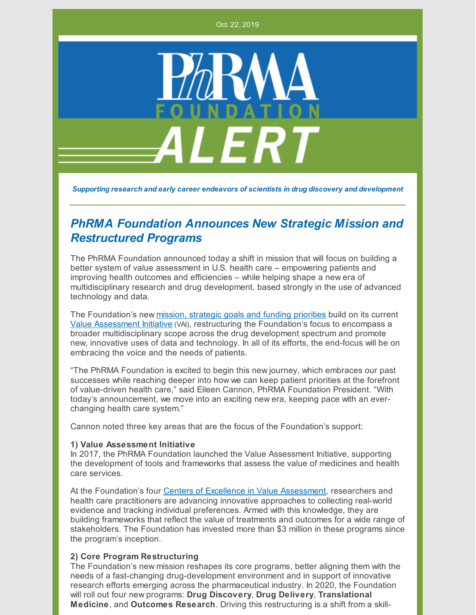Oct. 22, 2019



*Supporting research and early career endeavors of scientists in drug discovery and development*

# *PhRMA Foundation Announces New Strategic Mission and Restructured Programs*

The PhRMA Foundation announced today a shift in mission that will focus on building a better system of value assessment in U.S. health care – empowering patients and improving health outcomes and efficiencies – while helping shape a new era of multidisciplinary research and drug development, based strongly in the use of advanced technology and data.

The Foundation's new mission, [strategic](http://www.phrmafoundation.org/the-mission-of-the-phrma-foundation/) goals and funding priorities build on its current Value [Assessment](http://www.phrmafoundation.org/about-the-phrma-foundations-value-assessment-initiative/) Initiative (VAI), restructuring the Foundation's focus to encompass a broader multidisciplinary scope across the drug development spectrum and promote new, innovative uses of data and technology. In all of its efforts, the end-focus will be on embracing the voice and the needs of patients.

"The PhRMA Foundation is excited to begin this new journey, which embraces our past successes while reaching deeper into how we can keep patient priorities at the forefront of value-driven health care," said Eileen Cannon, PhRMA Foundation President. "With today's announcement, we move into an exciting new era, keeping pace with an everchanging health care system."

Cannon noted three key areas that are the focus of the Foundation's support:

#### **1) Value Assessment Initiative**

In 2017, the PhRMA Foundation launched the Value Assessment Initiative, supporting the development of tools and frameworks that assess the value of medicines and health care services.

At the Foundation's four Centers of Excellence in Value [Assessment](http://www.phrmafoundation.org/centers-of-excellence-in-value-assessment/), researchers and health care practitioners are advancing innovative approaches to collecting real-world evidence and tracking individual preferences. Armed with this knowledge, they are building frameworks that reflect the value of treatments and outcomes for a wide range of stakeholders. The Foundation has invested more than \$3 million in these programs since the program's inception.

#### **2) Core Program Restructuring**

The Foundation's new mission reshapes its core programs, better aligning them with the needs of a fast-changing drug-development environment and in support of innovative research efforts emerging across the pharmaceutical industry. In 2020, the Foundation will roll out four new programs: **Drug Discovery**, **Drug Delivery**, **Translational Medicine**, and **Outcomes Research**. Driving this restructuring is a shift from a skill